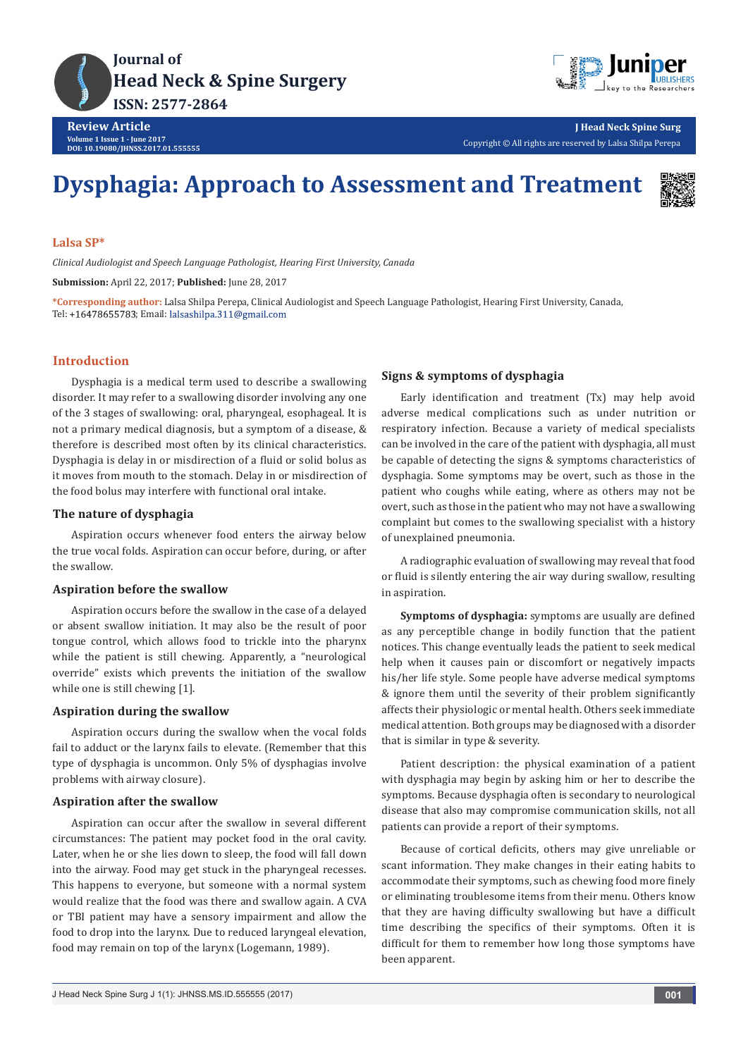

**Review Article Volume 1 Issue 1 - June 2017 DOI: [10.19080/JHNSS.2017.01.555555](http://dx.doi.org/10.19080/jhnss.2017.01.555555
)**

**J Head Neck Spine Surg** Copyright © All rights are reserved by Lalsa Shilpa Perepa

# **Dysphagia: Approach to Assessment and Treatment**



#### **Lalsa SP\***

*Clinical Audiologist and Speech Language Pathologist, Hearing First University, Canada*

**Submission:** April 22, 2017; **Published:** June 28, 2017

**\*Corresponding author:** Lalsa Shilpa Perepa, Clinical Audiologist and Speech Language Pathologist, Hearing First University, Canada, Tel: +16478655783; Email: lalsashilpa.311@gmail.com

## **Introduction**

Dysphagia is a medical term used to describe a swallowing disorder. It may refer to a swallowing disorder involving any one of the 3 stages of swallowing: oral, pharyngeal, esophageal. It is not a primary medical diagnosis, but a symptom of a disease, & therefore is described most often by its clinical characteristics. Dysphagia is delay in or misdirection of a fluid or solid bolus as it moves from mouth to the stomach. Delay in or misdirection of the food bolus may interfere with functional oral intake.

## **The nature of dysphagia**

Aspiration occurs whenever food enters the airway below the true vocal folds. Aspiration can occur before, during, or after the swallow.

#### **Aspiration before the swallow**

Aspiration occurs before the swallow in the case of a delayed or absent swallow initiation. It may also be the result of poor tongue control, which allows food to trickle into the pharynx while the patient is still chewing. Apparently, a "neurological override" exists which prevents the initiation of the swallow while one is still chewing [1].

#### **Aspiration during the swallow**

Aspiration occurs during the swallow when the vocal folds fail to adduct or the larynx fails to elevate. (Remember that this type of dysphagia is uncommon. Only 5% of dysphagias involve problems with airway closure).

#### **Aspiration after the swallow**

Aspiration can occur after the swallow in several different circumstances: The patient may pocket food in the oral cavity. Later, when he or she lies down to sleep, the food will fall down into the airway. Food may get stuck in the pharyngeal recesses. This happens to everyone, but someone with a normal system would realize that the food was there and swallow again. A CVA or TBI patient may have a sensory impairment and allow the food to drop into the larynx. Due to reduced laryngeal elevation, food may remain on top of the larynx (Logemann, 1989).

#### **Signs & symptoms of dysphagia**

Early identification and treatment (Tx) may help avoid adverse medical complications such as under nutrition or respiratory infection. Because a variety of medical specialists can be involved in the care of the patient with dysphagia, all must be capable of detecting the signs & symptoms characteristics of dysphagia. Some symptoms may be overt, such as those in the patient who coughs while eating, where as others may not be overt, such as those in the patient who may not have a swallowing complaint but comes to the swallowing specialist with a history of unexplained pneumonia.

A radiographic evaluation of swallowing may reveal that food or fluid is silently entering the air way during swallow, resulting in aspiration.

**Symptoms of dysphagia:** symptoms are usually are defined as any perceptible change in bodily function that the patient notices. This change eventually leads the patient to seek medical help when it causes pain or discomfort or negatively impacts his/her life style. Some people have adverse medical symptoms & ignore them until the severity of their problem significantly affects their physiologic or mental health. Others seek immediate medical attention. Both groups may be diagnosed with a disorder that is similar in type & severity.

Patient description: the physical examination of a patient with dysphagia may begin by asking him or her to describe the symptoms. Because dysphagia often is secondary to neurological disease that also may compromise communication skills, not all patients can provide a report of their symptoms.

Because of cortical deficits, others may give unreliable or scant information. They make changes in their eating habits to accommodate their symptoms, such as chewing food more finely or eliminating troublesome items from their menu. Others know that they are having difficulty swallowing but have a difficult time describing the specifics of their symptoms. Often it is difficult for them to remember how long those symptoms have been apparent.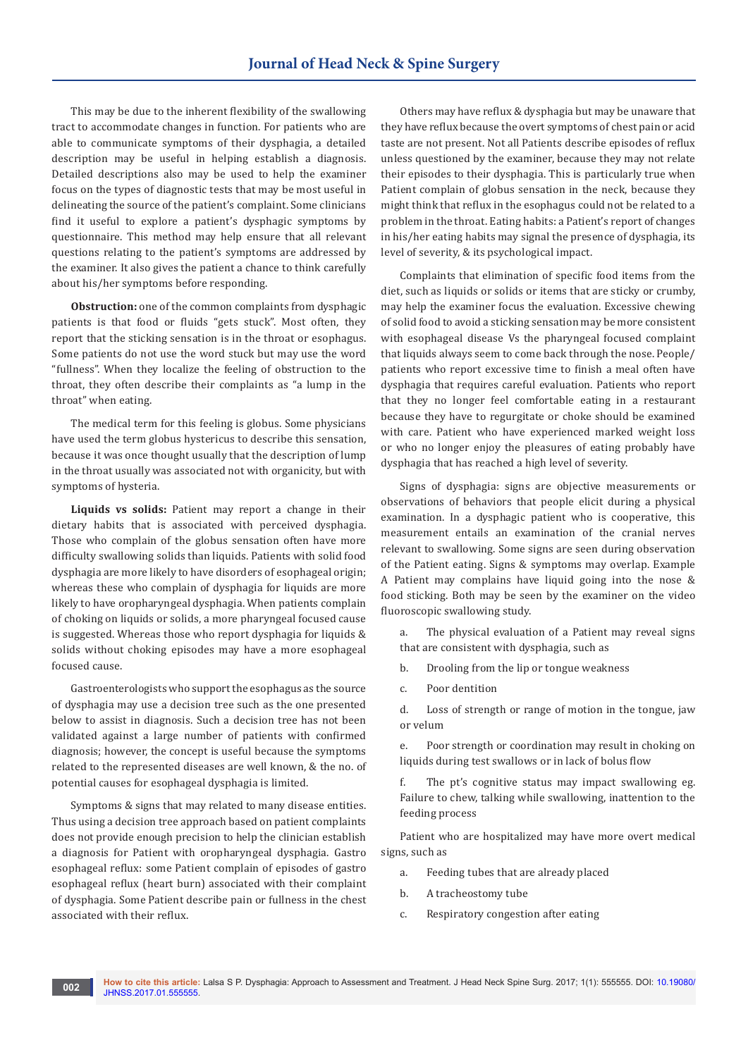This may be due to the inherent flexibility of the swallowing tract to accommodate changes in function. For patients who are able to communicate symptoms of their dysphagia, a detailed description may be useful in helping establish a diagnosis. Detailed descriptions also may be used to help the examiner focus on the types of diagnostic tests that may be most useful in delineating the source of the patient's complaint. Some clinicians find it useful to explore a patient's dysphagic symptoms by questionnaire. This method may help ensure that all relevant questions relating to the patient's symptoms are addressed by the examiner. It also gives the patient a chance to think carefully about his/her symptoms before responding.

**Obstruction:** one of the common complaints from dysphagic patients is that food or fluids "gets stuck". Most often, they report that the sticking sensation is in the throat or esophagus. Some patients do not use the word stuck but may use the word "fullness". When they localize the feeling of obstruction to the throat, they often describe their complaints as "a lump in the throat" when eating.

The medical term for this feeling is globus. Some physicians have used the term globus hystericus to describe this sensation, because it was once thought usually that the description of lump in the throat usually was associated not with organicity, but with symptoms of hysteria.

**Liquids vs solids:** Patient may report a change in their dietary habits that is associated with perceived dysphagia. Those who complain of the globus sensation often have more difficulty swallowing solids than liquids. Patients with solid food dysphagia are more likely to have disorders of esophageal origin; whereas these who complain of dysphagia for liquids are more likely to have oropharyngeal dysphagia. When patients complain of choking on liquids or solids, a more pharyngeal focused cause is suggested. Whereas those who report dysphagia for liquids & solids without choking episodes may have a more esophageal focused cause.

Gastroenterologists who support the esophagus as the source of dysphagia may use a decision tree such as the one presented below to assist in diagnosis. Such a decision tree has not been validated against a large number of patients with confirmed diagnosis; however, the concept is useful because the symptoms related to the represented diseases are well known, & the no. of potential causes for esophageal dysphagia is limited.

Symptoms & signs that may related to many disease entities. Thus using a decision tree approach based on patient complaints does not provide enough precision to help the clinician establish a diagnosis for Patient with oropharyngeal dysphagia. Gastro esophageal reflux: some Patient complain of episodes of gastro esophageal reflux (heart burn) associated with their complaint of dysphagia. Some Patient describe pain or fullness in the chest associated with their reflux.

Others may have reflux & dysphagia but may be unaware that they have reflux because the overt symptoms of chest pain or acid taste are not present. Not all Patients describe episodes of reflux unless questioned by the examiner, because they may not relate their episodes to their dysphagia. This is particularly true when Patient complain of globus sensation in the neck, because they might think that reflux in the esophagus could not be related to a problem in the throat. Eating habits: a Patient's report of changes in his/her eating habits may signal the presence of dysphagia, its level of severity, & its psychological impact.

Complaints that elimination of specific food items from the diet, such as liquids or solids or items that are sticky or crumby, may help the examiner focus the evaluation. Excessive chewing of solid food to avoid a sticking sensation may be more consistent with esophageal disease Vs the pharyngeal focused complaint that liquids always seem to come back through the nose. People/ patients who report excessive time to finish a meal often have dysphagia that requires careful evaluation. Patients who report that they no longer feel comfortable eating in a restaurant because they have to regurgitate or choke should be examined with care. Patient who have experienced marked weight loss or who no longer enjoy the pleasures of eating probably have dysphagia that has reached a high level of severity.

Signs of dysphagia: signs are objective measurements or observations of behaviors that people elicit during a physical examination. In a dysphagic patient who is cooperative, this measurement entails an examination of the cranial nerves relevant to swallowing. Some signs are seen during observation of the Patient eating. Signs & symptoms may overlap. Example A Patient may complains have liquid going into the nose & food sticking. Both may be seen by the examiner on the video fluoroscopic swallowing study.

a. The physical evaluation of a Patient may reveal signs that are consistent with dysphagia, such as

- b. Drooling from the lip or tongue weakness
- c. Poor dentition

d. Loss of strength or range of motion in the tongue, jaw or velum

e. Poor strength or coordination may result in choking on liquids during test swallows or in lack of bolus flow

f. The pt's cognitive status may impact swallowing eg. Failure to chew, talking while swallowing, inattention to the feeding process

Patient who are hospitalized may have more overt medical signs, such as

- a. Feeding tubes that are already placed
- b. A tracheostomy tube
- c. Respiratory congestion after eating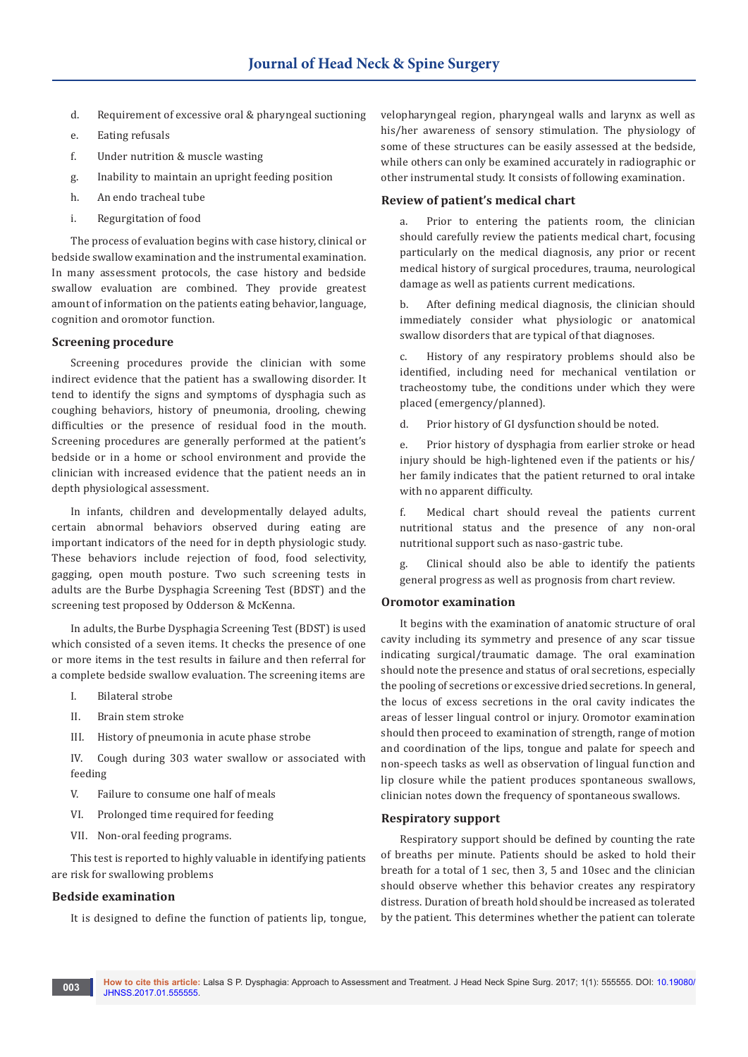- d. Requirement of excessive oral & pharyngeal suctioning
- e. Eating refusals
- f. Under nutrition & muscle wasting
- g. Inability to maintain an upright feeding position
- h. An endo tracheal tube
- i. Regurgitation of food

The process of evaluation begins with case history, clinical or bedside swallow examination and the instrumental examination. In many assessment protocols, the case history and bedside swallow evaluation are combined. They provide greatest amount of information on the patients eating behavior, language, cognition and oromotor function.

#### **Screening procedure**

Screening procedures provide the clinician with some indirect evidence that the patient has a swallowing disorder. It tend to identify the signs and symptoms of dysphagia such as coughing behaviors, history of pneumonia, drooling, chewing difficulties or the presence of residual food in the mouth. Screening procedures are generally performed at the patient's bedside or in a home or school environment and provide the clinician with increased evidence that the patient needs an in depth physiological assessment.

In infants, children and developmentally delayed adults, certain abnormal behaviors observed during eating are important indicators of the need for in depth physiologic study. These behaviors include rejection of food, food selectivity, gagging, open mouth posture. Two such screening tests in adults are the Burbe Dysphagia Screening Test (BDST) and the screening test proposed by Odderson & McKenna.

In adults, the Burbe Dysphagia Screening Test (BDST) is used which consisted of a seven items. It checks the presence of one or more items in the test results in failure and then referral for a complete bedside swallow evaluation. The screening items are

- I. Bilateral strobe
- II. Brain stem stroke
- III. History of pneumonia in acute phase strobe

IV. Cough during 303 water swallow or associated with feeding

- V. Failure to consume one half of meals
- VI. Prolonged time required for feeding
- VII. Non-oral feeding programs.

This test is reported to highly valuable in identifying patients are risk for swallowing problems

#### **Bedside examination**

It is designed to define the function of patients lip, tongue,

velopharyngeal region, pharyngeal walls and larynx as well as his/her awareness of sensory stimulation. The physiology of some of these structures can be easily assessed at the bedside, while others can only be examined accurately in radiographic or other instrumental study. It consists of following examination.

#### **Review of patient's medical chart**

a. Prior to entering the patients room, the clinician should carefully review the patients medical chart, focusing particularly on the medical diagnosis, any prior or recent medical history of surgical procedures, trauma, neurological damage as well as patients current medications.

b. After defining medical diagnosis, the clinician should immediately consider what physiologic or anatomical swallow disorders that are typical of that diagnoses.

c. History of any respiratory problems should also be identified, including need for mechanical ventilation or tracheostomy tube, the conditions under which they were placed (emergency/planned).

d. Prior history of GI dysfunction should be noted.

e. Prior history of dysphagia from earlier stroke or head injury should be high-lightened even if the patients or his/ her family indicates that the patient returned to oral intake with no apparent difficulty.

f. Medical chart should reveal the patients current nutritional status and the presence of any non-oral nutritional support such as naso-gastric tube.

g. Clinical should also be able to identify the patients general progress as well as prognosis from chart review.

#### **Oromotor examination**

It begins with the examination of anatomic structure of oral cavity including its symmetry and presence of any scar tissue indicating surgical/traumatic damage. The oral examination should note the presence and status of oral secretions, especially the pooling of secretions or excessive dried secretions. In general, the locus of excess secretions in the oral cavity indicates the areas of lesser lingual control or injury. Oromotor examination should then proceed to examination of strength, range of motion and coordination of the lips, tongue and palate for speech and non-speech tasks as well as observation of lingual function and lip closure while the patient produces spontaneous swallows, clinician notes down the frequency of spontaneous swallows.

#### **Respiratory support**

Respiratory support should be defined by counting the rate of breaths per minute. Patients should be asked to hold their breath for a total of 1 sec, then 3, 5 and 10sec and the clinician should observe whether this behavior creates any respiratory distress. Duration of breath hold should be increased as tolerated by the patient. This determines whether the patient can tolerate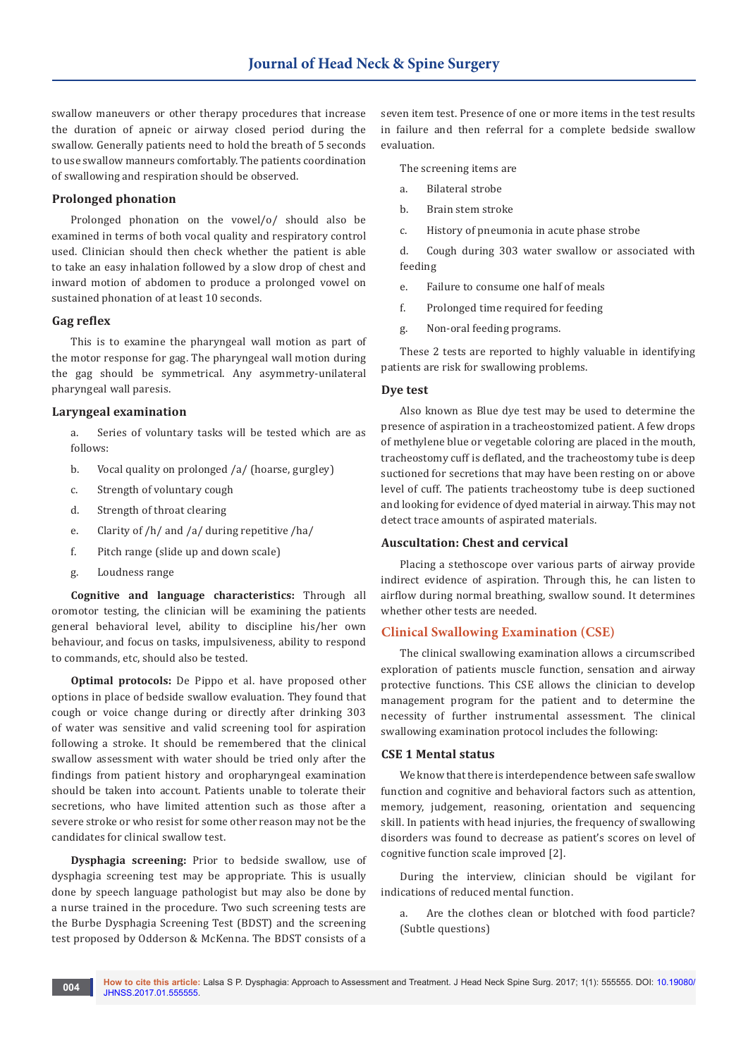swallow maneuvers or other therapy procedures that increase the duration of apneic or airway closed period during the swallow. Generally patients need to hold the breath of 5 seconds to use swallow manneurs comfortably. The patients coordination of swallowing and respiration should be observed.

## **Prolonged phonation**

Prolonged phonation on the vowel/o/ should also be examined in terms of both vocal quality and respiratory control used. Clinician should then check whether the patient is able to take an easy inhalation followed by a slow drop of chest and inward motion of abdomen to produce a prolonged vowel on sustained phonation of at least 10 seconds.

## **Gag reflex**

This is to examine the pharyngeal wall motion as part of the motor response for gag. The pharyngeal wall motion during the gag should be symmetrical. Any asymmetry-unilateral pharyngeal wall paresis.

## **Laryngeal examination**

- a. Series of voluntary tasks will be tested which are as follows:
- b. Vocal quality on prolonged /a/ (hoarse, gurgley)
- c. Strength of voluntary cough
- d. Strength of throat clearing
- e. Clarity of /h/ and /a/ during repetitive /ha/
- f. Pitch range (slide up and down scale)
- g. Loudness range

**Cognitive and language characteristics:** Through all oromotor testing, the clinician will be examining the patients general behavioral level, ability to discipline his/her own behaviour, and focus on tasks, impulsiveness, ability to respond to commands, etc, should also be tested.

**Optimal protocols:** De Pippo et al. have proposed other options in place of bedside swallow evaluation. They found that cough or voice change during or directly after drinking 303 of water was sensitive and valid screening tool for aspiration following a stroke. It should be remembered that the clinical swallow assessment with water should be tried only after the findings from patient history and oropharyngeal examination should be taken into account. Patients unable to tolerate their secretions, who have limited attention such as those after a severe stroke or who resist for some other reason may not be the candidates for clinical swallow test.

**Dysphagia screening:** Prior to bedside swallow, use of dysphagia screening test may be appropriate. This is usually done by speech language pathologist but may also be done by a nurse trained in the procedure. Two such screening tests are the Burbe Dysphagia Screening Test (BDST) and the screening test proposed by Odderson & McKenna. The BDST consists of a

seven item test. Presence of one or more items in the test results in failure and then referral for a complete bedside swallow evaluation.

The screening items are

- a. Bilateral strobe
- b. Brain stem stroke
- c. History of pneumonia in acute phase strobe

d. Cough during 303 water swallow or associated with feeding

- e. Failure to consume one half of meals
- f. Prolonged time required for feeding
- g. Non-oral feeding programs.

These 2 tests are reported to highly valuable in identifying patients are risk for swallowing problems.

## **Dye test**

Also known as Blue dye test may be used to determine the presence of aspiration in a tracheostomized patient. A few drops of methylene blue or vegetable coloring are placed in the mouth, tracheostomy cuff is deflated, and the tracheostomy tube is deep suctioned for secretions that may have been resting on or above level of cuff. The patients tracheostomy tube is deep suctioned and looking for evidence of dyed material in airway. This may not detect trace amounts of aspirated materials.

## **Auscultation: Chest and cervical**

Placing a stethoscope over various parts of airway provide indirect evidence of aspiration. Through this, he can listen to airflow during normal breathing, swallow sound. It determines whether other tests are needed.

## **Clinical Swallowing Examination (CSE)**

The clinical swallowing examination allows a circumscribed exploration of patients muscle function, sensation and airway protective functions. This CSE allows the clinician to develop management program for the patient and to determine the necessity of further instrumental assessment. The clinical swallowing examination protocol includes the following:

#### **CSE 1 Mental status**

We know that there is interdependence between safe swallow function and cognitive and behavioral factors such as attention, memory, judgement, reasoning, orientation and sequencing skill. In patients with head injuries, the frequency of swallowing disorders was found to decrease as patient's scores on level of cognitive function scale improved [2].

During the interview, clinician should be vigilant for indications of reduced mental function.

a. Are the clothes clean or blotched with food particle? (Subtle questions)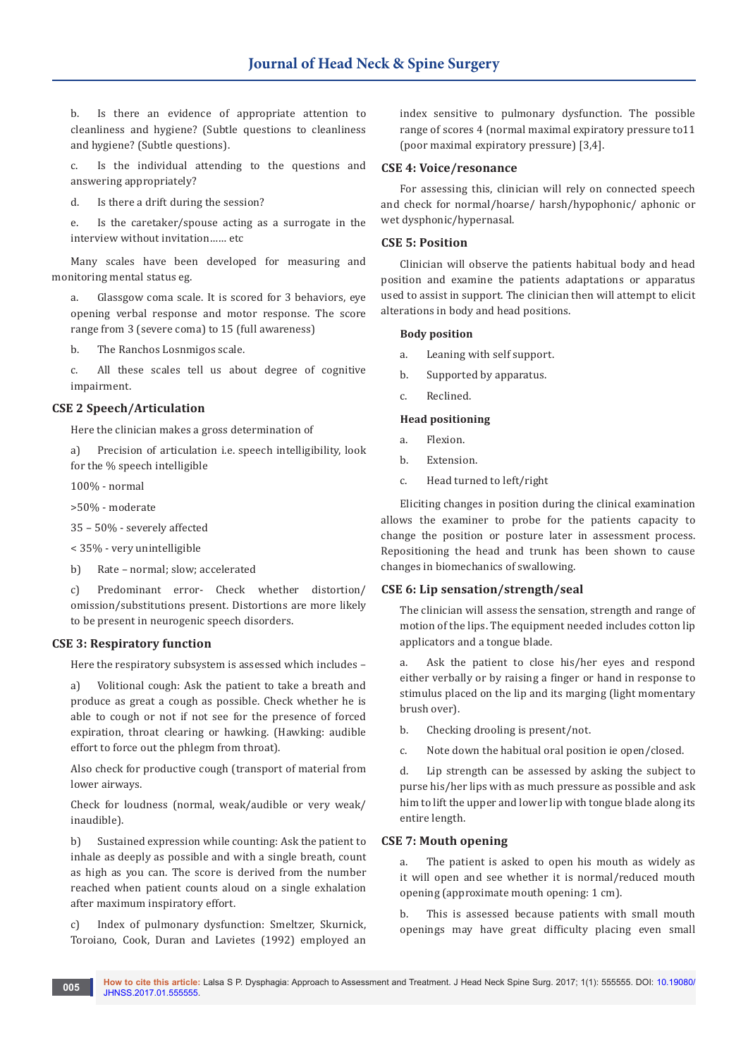b. Is there an evidence of appropriate attention to cleanliness and hygiene? (Subtle questions to cleanliness and hygiene? (Subtle questions).

c. Is the individual attending to the questions and answering appropriately?

d. Is there a drift during the session?

e. Is the caretaker/spouse acting as a surrogate in the interview without invitation…… etc

Many scales have been developed for measuring and monitoring mental status eg.

a. Glassgow coma scale. It is scored for 3 behaviors, eye opening verbal response and motor response. The score range from 3 (severe coma) to 15 (full awareness)

b. The Ranchos Losnmigos scale.

c. All these scales tell us about degree of cognitive impairment.

## **CSE 2 Speech/Articulation**

Here the clinician makes a gross determination of

a) Precision of articulation i.e. speech intelligibility, look for the % speech intelligible

100% - normal

>50% - moderate

35 – 50% - severely affected

< 35% - very unintelligible

b) Rate – normal; slow; accelerated

c) Predominant error- Check whether distortion/ omission/substitutions present. Distortions are more likely to be present in neurogenic speech disorders.

## **CSE 3: Respiratory function**

Here the respiratory subsystem is assessed which includes –

a) Volitional cough: Ask the patient to take a breath and produce as great a cough as possible. Check whether he is able to cough or not if not see for the presence of forced expiration, throat clearing or hawking. (Hawking: audible effort to force out the phlegm from throat).

Also check for productive cough (transport of material from lower airways.

Check for loudness (normal, weak/audible or very weak/ inaudible).

b) Sustained expression while counting: Ask the patient to inhale as deeply as possible and with a single breath, count as high as you can. The score is derived from the number reached when patient counts aloud on a single exhalation after maximum inspiratory effort.

c) Index of pulmonary dysfunction: Smeltzer, Skurnick, Toroiano, Cook, Duran and Lavietes (1992) employed an

index sensitive to pulmonary dysfunction. The possible range of scores 4 (normal maximal expiratory pressure to11 (poor maximal expiratory pressure) [3,4].

#### **CSE 4: Voice/resonance**

For assessing this, clinician will rely on connected speech and check for normal/hoarse/ harsh/hypophonic/ aphonic or wet dysphonic/hypernasal.

## **CSE 5: Position**

Clinician will observe the patients habitual body and head position and examine the patients adaptations or apparatus used to assist in support. The clinician then will attempt to elicit alterations in body and head positions.

#### **Body position**

- a. Leaning with self support.
- b. Supported by apparatus.
- c. Reclined.

#### **Head positioning**

- a. Flexion.
- b. Extension.
- c. Head turned to left/right

Eliciting changes in position during the clinical examination allows the examiner to probe for the patients capacity to change the position or posture later in assessment process. Repositioning the head and trunk has been shown to cause changes in biomechanics of swallowing.

## **CSE 6: Lip sensation/strength/seal**

The clinician will assess the sensation, strength and range of motion of the lips. The equipment needed includes cotton lip applicators and a tongue blade.

a. Ask the patient to close his/her eyes and respond either verbally or by raising a finger or hand in response to stimulus placed on the lip and its marging (light momentary brush over).

b. Checking drooling is present/not.

c. Note down the habitual oral position ie open/closed.

d. Lip strength can be assessed by asking the subject to purse his/her lips with as much pressure as possible and ask him to lift the upper and lower lip with tongue blade along its entire length.

#### **CSE 7: Mouth opening**

a. The patient is asked to open his mouth as widely as it will open and see whether it is normal/reduced mouth opening (approximate mouth opening: 1 cm).

b. This is assessed because patients with small mouth openings may have great difficulty placing even small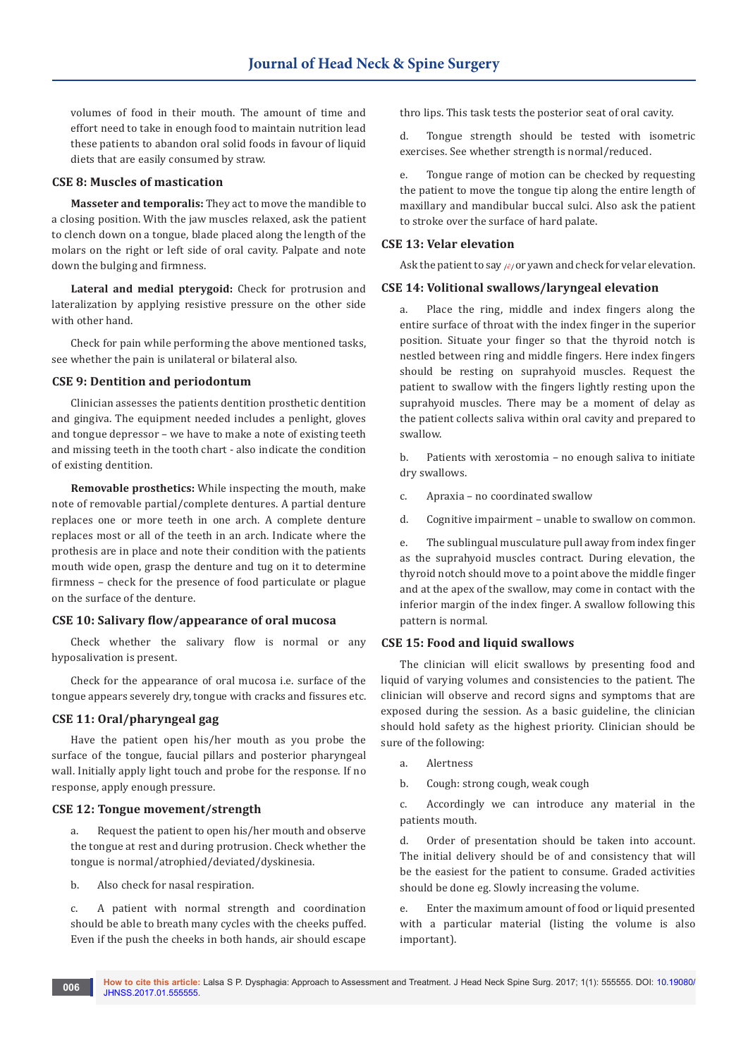volumes of food in their mouth. The amount of time and effort need to take in enough food to maintain nutrition lead these patients to abandon oral solid foods in favour of liquid diets that are easily consumed by straw.

## **CSE 8: Muscles of mastication**

**Masseter and temporalis:** They act to move the mandible to a closing position. With the jaw muscles relaxed, ask the patient to clench down on a tongue, blade placed along the length of the molars on the right or left side of oral cavity. Palpate and note down the bulging and firmness.

**Lateral and medial pterygoid:** Check for protrusion and lateralization by applying resistive pressure on the other side with other hand.

Check for pain while performing the above mentioned tasks, see whether the pain is unilateral or bilateral also.

## **CSE 9: Dentition and periodontum**

Clinician assesses the patients dentition prosthetic dentition and gingiva. The equipment needed includes a penlight, gloves and tongue depressor – we have to make a note of existing teeth and missing teeth in the tooth chart - also indicate the condition of existing dentition.

**Removable prosthetics:** While inspecting the mouth, make note of removable partial/complete dentures. A partial denture replaces one or more teeth in one arch. A complete denture replaces most or all of the teeth in an arch. Indicate where the prothesis are in place and note their condition with the patients mouth wide open, grasp the denture and tug on it to determine firmness – check for the presence of food particulate or plague on the surface of the denture.

#### **CSE 10: Salivary flow/appearance of oral mucosa**

Check whether the salivary flow is normal or any hyposalivation is present.

Check for the appearance of oral mucosa i.e. surface of the tongue appears severely dry, tongue with cracks and fissures etc.

#### **CSE 11: Oral/pharyngeal gag**

Have the patient open his/her mouth as you probe the surface of the tongue, faucial pillars and posterior pharyngeal wall. Initially apply light touch and probe for the response. If no response, apply enough pressure.

#### **CSE 12: Tongue movement/strength**

a. Request the patient to open his/her mouth and observe the tongue at rest and during protrusion. Check whether the tongue is normal/atrophied/deviated/dyskinesia.

b. Also check for nasal respiration.

c. A patient with normal strength and coordination should be able to breath many cycles with the cheeks puffed. Even if the push the cheeks in both hands, air should escape thro lips. This task tests the posterior seat of oral cavity.

d. Tongue strength should be tested with isometric exercises. See whether strength is normal/reduced.

e. Tongue range of motion can be checked by requesting the patient to move the tongue tip along the entire length of maxillary and mandibular buccal sulci. Also ask the patient to stroke over the surface of hard palate.

### **CSE 13: Velar elevation**

Ask the patient to say  $\sqrt{\partial}$  or yawn and check for velar elevation.

## **CSE 14: Volitional swallows/laryngeal elevation**

a. Place the ring, middle and index fingers along the entire surface of throat with the index finger in the superior position. Situate your finger so that the thyroid notch is nestled between ring and middle fingers. Here index fingers should be resting on suprahyoid muscles. Request the patient to swallow with the fingers lightly resting upon the suprahyoid muscles. There may be a moment of delay as the patient collects saliva within oral cavity and prepared to swallow.

b. Patients with xerostomia – no enough saliva to initiate dry swallows.

- c. Apraxia no coordinated swallow
- d. Cognitive impairment unable to swallow on common.

e. The sublingual musculature pull away from index finger as the suprahyoid muscles contract. During elevation, the thyroid notch should move to a point above the middle finger and at the apex of the swallow, may come in contact with the inferior margin of the index finger. A swallow following this pattern is normal.

## **CSE 15: Food and liquid swallows**

The clinician will elicit swallows by presenting food and liquid of varying volumes and consistencies to the patient. The clinician will observe and record signs and symptoms that are exposed during the session. As a basic guideline, the clinician should hold safety as the highest priority. Clinician should be sure of the following:

a. Alertness

b. Cough: strong cough, weak cough

c. Accordingly we can introduce any material in the patients mouth.

d. Order of presentation should be taken into account. The initial delivery should be of and consistency that will be the easiest for the patient to consume. Graded activities should be done eg. Slowly increasing the volume.

e. Enter the maximum amount of food or liquid presented with a particular material (listing the volume is also important).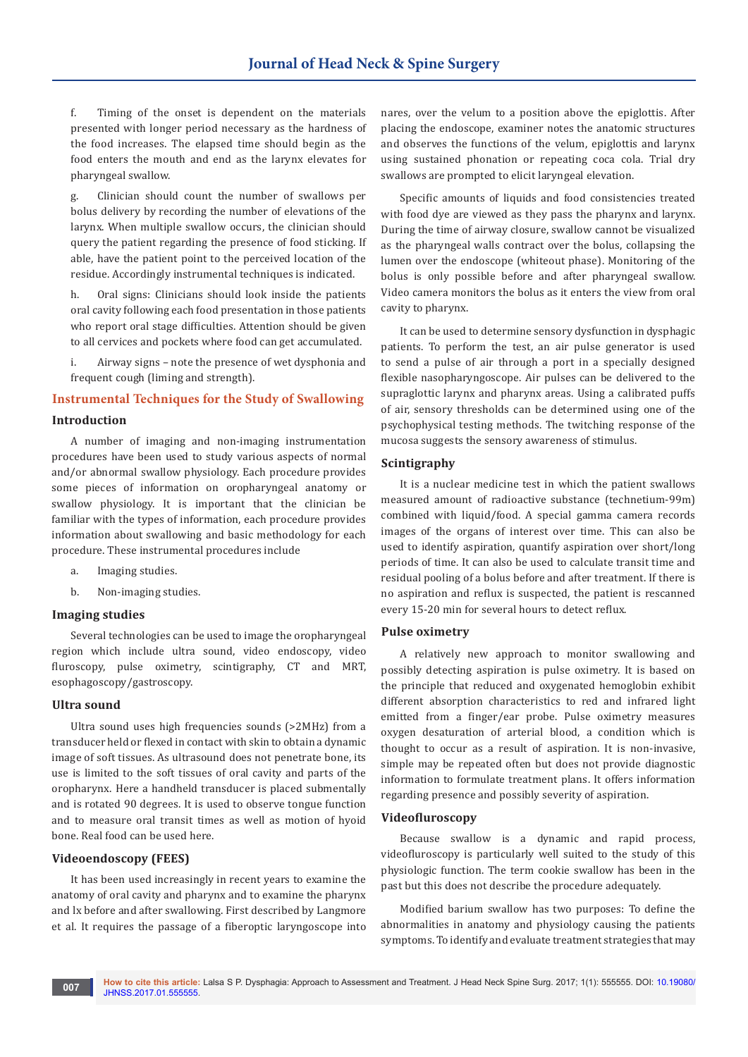f. Timing of the onset is dependent on the materials presented with longer period necessary as the hardness of the food increases. The elapsed time should begin as the food enters the mouth and end as the larynx elevates for pharyngeal swallow.

g. Clinician should count the number of swallows per bolus delivery by recording the number of elevations of the larynx. When multiple swallow occurs, the clinician should query the patient regarding the presence of food sticking. If able, have the patient point to the perceived location of the residue. Accordingly instrumental techniques is indicated.

h. Oral signs: Clinicians should look inside the patients oral cavity following each food presentation in those patients who report oral stage difficulties. Attention should be given to all cervices and pockets where food can get accumulated.

i. Airway signs – note the presence of wet dysphonia and frequent cough (liming and strength).

## **Instrumental Techniques for the Study of Swallowing**

## **Introduction**

A number of imaging and non-imaging instrumentation procedures have been used to study various aspects of normal and/or abnormal swallow physiology. Each procedure provides some pieces of information on oropharyngeal anatomy or swallow physiology. It is important that the clinician be familiar with the types of information, each procedure provides information about swallowing and basic methodology for each procedure. These instrumental procedures include

- a. Imaging studies.
- b. Non-imaging studies.

#### **Imaging studies**

Several technologies can be used to image the oropharyngeal region which include ultra sound, video endoscopy, video fluroscopy, pulse oximetry, scintigraphy, CT and MRT, esophagoscopy/gastroscopy.

## **Ultra sound**

Ultra sound uses high frequencies sounds (>2MHz) from a transducer held or flexed in contact with skin to obtain a dynamic image of soft tissues. As ultrasound does not penetrate bone, its use is limited to the soft tissues of oral cavity and parts of the oropharynx. Here a handheld transducer is placed submentally and is rotated 90 degrees. It is used to observe tongue function and to measure oral transit times as well as motion of hyoid bone. Real food can be used here.

## **Videoendoscopy (FEES)**

It has been used increasingly in recent years to examine the anatomy of oral cavity and pharynx and to examine the pharynx and lx before and after swallowing. First described by Langmore et al. It requires the passage of a fiberoptic laryngoscope into

nares, over the velum to a position above the epiglottis. After placing the endoscope, examiner notes the anatomic structures and observes the functions of the velum, epiglottis and larynx using sustained phonation or repeating coca cola. Trial dry swallows are prompted to elicit laryngeal elevation.

Specific amounts of liquids and food consistencies treated with food dye are viewed as they pass the pharynx and larynx. During the time of airway closure, swallow cannot be visualized as the pharyngeal walls contract over the bolus, collapsing the lumen over the endoscope (whiteout phase). Monitoring of the bolus is only possible before and after pharyngeal swallow. Video camera monitors the bolus as it enters the view from oral cavity to pharynx.

It can be used to determine sensory dysfunction in dysphagic patients. To perform the test, an air pulse generator is used to send a pulse of air through a port in a specially designed flexible nasopharyngoscope. Air pulses can be delivered to the supraglottic larynx and pharynx areas. Using a calibrated puffs of air, sensory thresholds can be determined using one of the psychophysical testing methods. The twitching response of the mucosa suggests the sensory awareness of stimulus.

#### **Scintigraphy**

It is a nuclear medicine test in which the patient swallows measured amount of radioactive substance (technetium-99m) combined with liquid/food. A special gamma camera records images of the organs of interest over time. This can also be used to identify aspiration, quantify aspiration over short/long periods of time. It can also be used to calculate transit time and residual pooling of a bolus before and after treatment. If there is no aspiration and reflux is suspected, the patient is rescanned every 15-20 min for several hours to detect reflux.

#### **Pulse oximetry**

A relatively new approach to monitor swallowing and possibly detecting aspiration is pulse oximetry. It is based on the principle that reduced and oxygenated hemoglobin exhibit different absorption characteristics to red and infrared light emitted from a finger/ear probe. Pulse oximetry measures oxygen desaturation of arterial blood, a condition which is thought to occur as a result of aspiration. It is non-invasive, simple may be repeated often but does not provide diagnostic information to formulate treatment plans. It offers information regarding presence and possibly severity of aspiration.

#### **Videofluroscopy**

Because swallow is a dynamic and rapid process, videofluroscopy is particularly well suited to the study of this physiologic function. The term cookie swallow has been in the past but this does not describe the procedure adequately.

Modified barium swallow has two purposes: To define the abnormalities in anatomy and physiology causing the patients symptoms. To identify and evaluate treatment strategies that may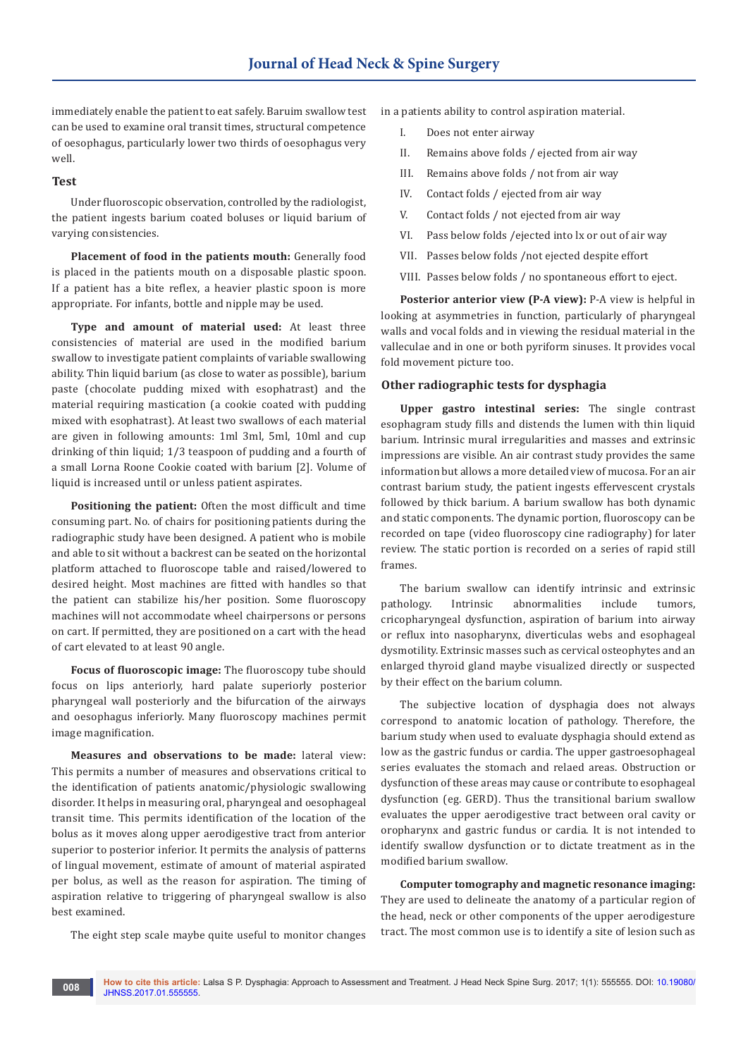immediately enable the patient to eat safely. Baruim swallow test can be used to examine oral transit times, structural competence of oesophagus, particularly lower two thirds of oesophagus very well.

#### **Test**

Under fluoroscopic observation, controlled by the radiologist, the patient ingests barium coated boluses or liquid barium of varying consistencies.

**Placement of food in the patients mouth:** Generally food is placed in the patients mouth on a disposable plastic spoon. If a patient has a bite reflex, a heavier plastic spoon is more appropriate. For infants, bottle and nipple may be used.

**Type and amount of material used:** At least three consistencies of material are used in the modified barium swallow to investigate patient complaints of variable swallowing ability. Thin liquid barium (as close to water as possible), barium paste (chocolate pudding mixed with esophatrast) and the material requiring mastication (a cookie coated with pudding mixed with esophatrast). At least two swallows of each material are given in following amounts: 1ml 3ml, 5ml, 10ml and cup drinking of thin liquid; 1/3 teaspoon of pudding and a fourth of a small Lorna Roone Cookie coated with barium [2]. Volume of liquid is increased until or unless patient aspirates.

**Positioning the patient:** Often the most difficult and time consuming part. No. of chairs for positioning patients during the radiographic study have been designed. A patient who is mobile and able to sit without a backrest can be seated on the horizontal platform attached to fluoroscope table and raised/lowered to desired height. Most machines are fitted with handles so that the patient can stabilize his/her position. Some fluoroscopy machines will not accommodate wheel chairpersons or persons on cart. If permitted, they are positioned on a cart with the head of cart elevated to at least 90 angle.

**Focus of fluoroscopic image:** The fluoroscopy tube should focus on lips anteriorly, hard palate superiorly posterior pharyngeal wall posteriorly and the bifurcation of the airways and oesophagus inferiorly. Many fluoroscopy machines permit image magnification.

**Measures and observations to be made:** lateral view: This permits a number of measures and observations critical to the identification of patients anatomic/physiologic swallowing disorder. It helps in measuring oral, pharyngeal and oesophageal transit time. This permits identification of the location of the bolus as it moves along upper aerodigestive tract from anterior superior to posterior inferior. It permits the analysis of patterns of lingual movement, estimate of amount of material aspirated per bolus, as well as the reason for aspiration. The timing of aspiration relative to triggering of pharyngeal swallow is also best examined.

The eight step scale maybe quite useful to monitor changes

in a patients ability to control aspiration material.

- I. Does not enter airway
- II. Remains above folds / ejected from air way
- III. Remains above folds / not from air way
- IV. Contact folds / ejected from air way
- V. Contact folds / not ejected from air way
- VI. Pass below folds /ejected into lx or out of air way
- VII. Passes below folds /not ejected despite effort
- VIII. Passes below folds / no spontaneous effort to eject.

**Posterior anterior view (P-A view):** P-A view is helpful in looking at asymmetries in function, particularly of pharyngeal walls and vocal folds and in viewing the residual material in the valleculae and in one or both pyriform sinuses. It provides vocal fold movement picture too.

#### **Other radiographic tests for dysphagia**

**Upper gastro intestinal series:** The single contrast esophagram study fills and distends the lumen with thin liquid barium. Intrinsic mural irregularities and masses and extrinsic impressions are visible. An air contrast study provides the same information but allows a more detailed view of mucosa. For an air contrast barium study, the patient ingests effervescent crystals followed by thick barium. A barium swallow has both dynamic and static components. The dynamic portion, fluoroscopy can be recorded on tape (video fluoroscopy cine radiography) for later review. The static portion is recorded on a series of rapid still frames.

The barium swallow can identify intrinsic and extrinsic pathology. Intrinsic abnormalities include tumors, cricopharyngeal dysfunction, aspiration of barium into airway or reflux into nasopharynx, diverticulas webs and esophageal dysmotility. Extrinsic masses such as cervical osteophytes and an enlarged thyroid gland maybe visualized directly or suspected by their effect on the barium column.

The subjective location of dysphagia does not always correspond to anatomic location of pathology. Therefore, the barium study when used to evaluate dysphagia should extend as low as the gastric fundus or cardia. The upper gastroesophageal series evaluates the stomach and relaed areas. Obstruction or dysfunction of these areas may cause or contribute to esophageal dysfunction (eg. GERD). Thus the transitional barium swallow evaluates the upper aerodigestive tract between oral cavity or oropharynx and gastric fundus or cardia. It is not intended to identify swallow dysfunction or to dictate treatment as in the modified barium swallow.

**Computer tomography and magnetic resonance imaging:** They are used to delineate the anatomy of a particular region of the head, neck or other components of the upper aerodigesture tract. The most common use is to identify a site of lesion such as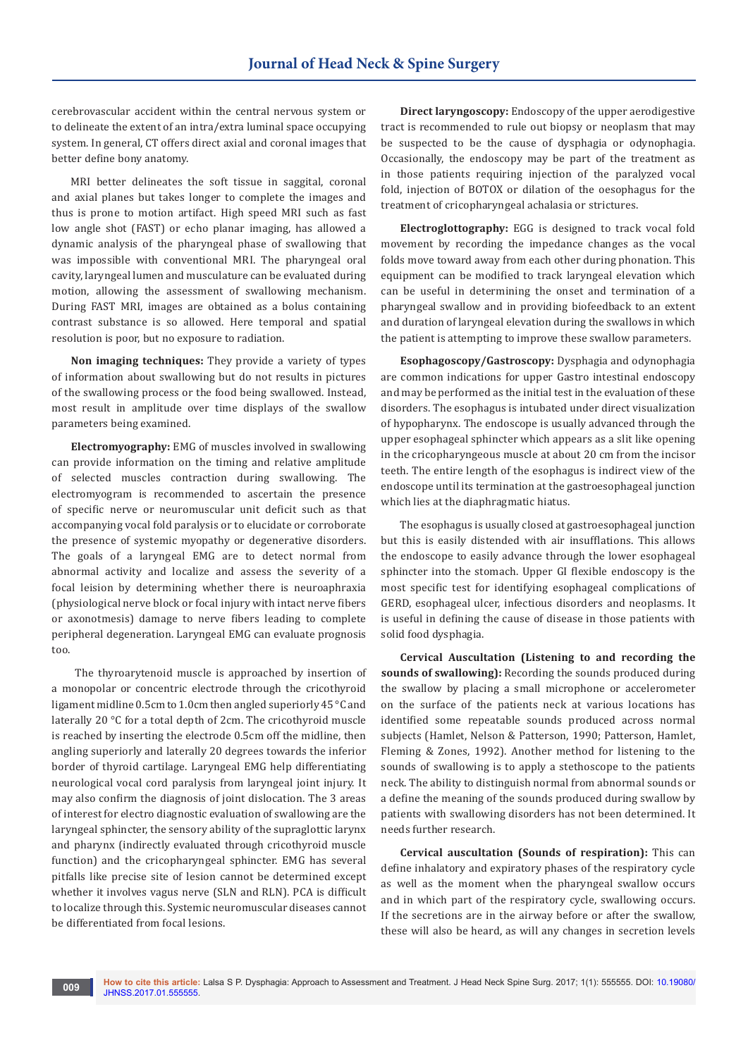cerebrovascular accident within the central nervous system or to delineate the extent of an intra/extra luminal space occupying system. In general, CT offers direct axial and coronal images that better define bony anatomy.

MRI better delineates the soft tissue in saggital, coronal and axial planes but takes longer to complete the images and thus is prone to motion artifact. High speed MRI such as fast low angle shot (FAST) or echo planar imaging, has allowed a dynamic analysis of the pharyngeal phase of swallowing that was impossible with conventional MRI. The pharyngeal oral cavity, laryngeal lumen and musculature can be evaluated during motion, allowing the assessment of swallowing mechanism. During FAST MRI, images are obtained as a bolus containing contrast substance is so allowed. Here temporal and spatial resolution is poor, but no exposure to radiation.

**Non imaging techniques:** They provide a variety of types of information about swallowing but do not results in pictures of the swallowing process or the food being swallowed. Instead, most result in amplitude over time displays of the swallow parameters being examined.

**Electromyography:** EMG of muscles involved in swallowing can provide information on the timing and relative amplitude of selected muscles contraction during swallowing. The electromyogram is recommended to ascertain the presence of specific nerve or neuromuscular unit deficit such as that accompanying vocal fold paralysis or to elucidate or corroborate the presence of systemic myopathy or degenerative disorders. The goals of a laryngeal EMG are to detect normal from abnormal activity and localize and assess the severity of a focal leision by determining whether there is neuroaphraxia (physiological nerve block or focal injury with intact nerve fibers or axonotmesis) damage to nerve fibers leading to complete peripheral degeneration. Laryngeal EMG can evaluate prognosis too.

 The thyroarytenoid muscle is approached by insertion of a monopolar or concentric electrode through the cricothyroid ligament midline 0.5cm to 1.0cm then angled superiorly 45 °C and laterally 20 °C for a total depth of 2cm. The cricothyroid muscle is reached by inserting the electrode 0.5cm off the midline, then angling superiorly and laterally 20 degrees towards the inferior border of thyroid cartilage. Laryngeal EMG help differentiating neurological vocal cord paralysis from laryngeal joint injury. It may also confirm the diagnosis of joint dislocation. The 3 areas of interest for electro diagnostic evaluation of swallowing are the laryngeal sphincter, the sensory ability of the supraglottic larynx and pharynx (indirectly evaluated through cricothyroid muscle function) and the cricopharyngeal sphincter. EMG has several pitfalls like precise site of lesion cannot be determined except whether it involves vagus nerve (SLN and RLN). PCA is difficult to localize through this. Systemic neuromuscular diseases cannot be differentiated from focal lesions.

**Direct laryngoscopy:** Endoscopy of the upper aerodigestive tract is recommended to rule out biopsy or neoplasm that may be suspected to be the cause of dysphagia or odynophagia. Occasionally, the endoscopy may be part of the treatment as in those patients requiring injection of the paralyzed vocal fold, injection of BOTOX or dilation of the oesophagus for the treatment of cricopharyngeal achalasia or strictures.

**Electroglottography:** EGG is designed to track vocal fold movement by recording the impedance changes as the vocal folds move toward away from each other during phonation. This equipment can be modified to track laryngeal elevation which can be useful in determining the onset and termination of a pharyngeal swallow and in providing biofeedback to an extent and duration of laryngeal elevation during the swallows in which the patient is attempting to improve these swallow parameters.

**Esophagoscopy/Gastroscopy:** Dysphagia and odynophagia are common indications for upper Gastro intestinal endoscopy and may be performed as the initial test in the evaluation of these disorders. The esophagus is intubated under direct visualization of hypopharynx. The endoscope is usually advanced through the upper esophageal sphincter which appears as a slit like opening in the cricopharyngeous muscle at about 20 cm from the incisor teeth. The entire length of the esophagus is indirect view of the endoscope until its termination at the gastroesophageal junction which lies at the diaphragmatic hiatus.

The esophagus is usually closed at gastroesophageal junction but this is easily distended with air insufflations. This allows the endoscope to easily advance through the lower esophageal sphincter into the stomach. Upper GI flexible endoscopy is the most specific test for identifying esophageal complications of GERD, esophageal ulcer, infectious disorders and neoplasms. It is useful in defining the cause of disease in those patients with solid food dysphagia.

**Cervical Auscultation (Listening to and recording the sounds of swallowing):** Recording the sounds produced during the swallow by placing a small microphone or accelerometer on the surface of the patients neck at various locations has identified some repeatable sounds produced across normal subjects (Hamlet, Nelson & Patterson, 1990; Patterson, Hamlet, Fleming & Zones, 1992). Another method for listening to the sounds of swallowing is to apply a stethoscope to the patients neck. The ability to distinguish normal from abnormal sounds or a define the meaning of the sounds produced during swallow by patients with swallowing disorders has not been determined. It needs further research.

**Cervical auscultation (Sounds of respiration):** This can define inhalatory and expiratory phases of the respiratory cycle as well as the moment when the pharyngeal swallow occurs and in which part of the respiratory cycle, swallowing occurs. If the secretions are in the airway before or after the swallow, these will also be heard, as will any changes in secretion levels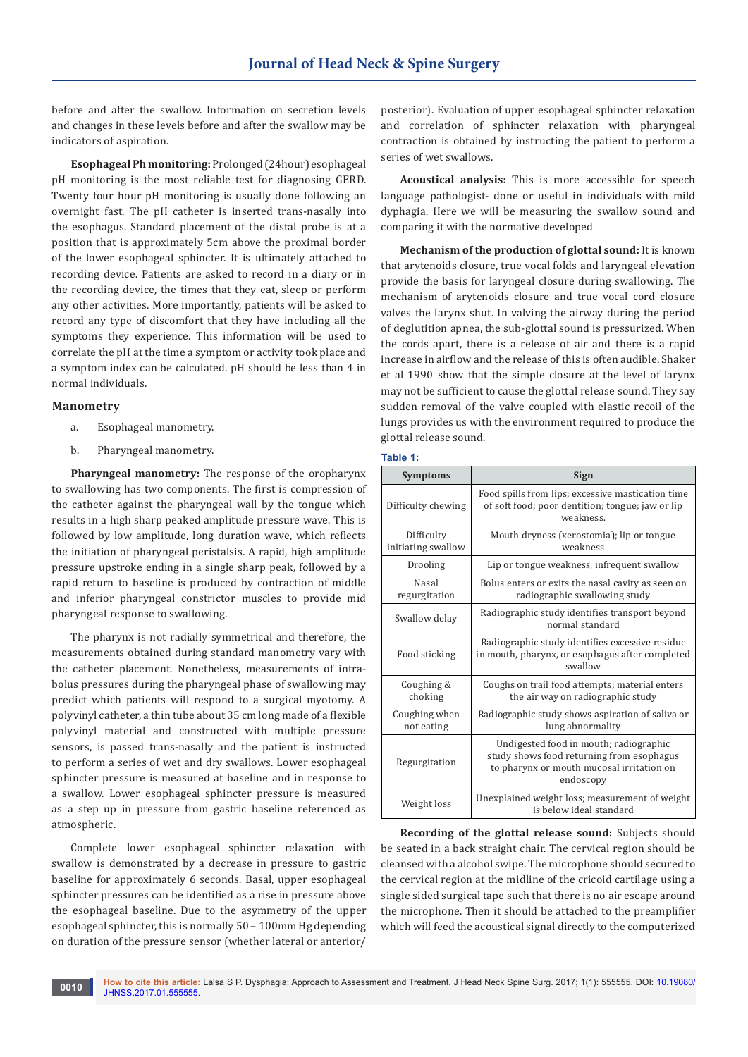before and after the swallow. Information on secretion levels and changes in these levels before and after the swallow may be indicators of aspiration.

**Esophageal Ph monitoring:** Prolonged (24hour) esophageal pH monitoring is the most reliable test for diagnosing GERD. Twenty four hour pH monitoring is usually done following an overnight fast. The pH catheter is inserted trans-nasally into the esophagus. Standard placement of the distal probe is at a position that is approximately 5cm above the proximal border of the lower esophageal sphincter. It is ultimately attached to recording device. Patients are asked to record in a diary or in the recording device, the times that they eat, sleep or perform any other activities. More importantly, patients will be asked to record any type of discomfort that they have including all the symptoms they experience. This information will be used to correlate the pH at the time a symptom or activity took place and a symptom index can be calculated. pH should be less than 4 in normal individuals.

#### **Manometry**

- a. Esophageal manometry.
- b. Pharyngeal manometry.

**Pharyngeal manometry:** The response of the oropharynx to swallowing has two components. The first is compression of the catheter against the pharyngeal wall by the tongue which results in a high sharp peaked amplitude pressure wave. This is followed by low amplitude, long duration wave, which reflects the initiation of pharyngeal peristalsis. A rapid, high amplitude pressure upstroke ending in a single sharp peak, followed by a rapid return to baseline is produced by contraction of middle and inferior pharyngeal constrictor muscles to provide mid pharyngeal response to swallowing.

The pharynx is not radially symmetrical and therefore, the measurements obtained during standard manometry vary with the catheter placement. Nonetheless, measurements of intrabolus pressures during the pharyngeal phase of swallowing may predict which patients will respond to a surgical myotomy. A polyvinyl catheter, a thin tube about 35 cm long made of a flexible polyvinyl material and constructed with multiple pressure sensors, is passed trans-nasally and the patient is instructed to perform a series of wet and dry swallows. Lower esophageal sphincter pressure is measured at baseline and in response to a swallow. Lower esophageal sphincter pressure is measured as a step up in pressure from gastric baseline referenced as atmospheric.

Complete lower esophageal sphincter relaxation with swallow is demonstrated by a decrease in pressure to gastric baseline for approximately 6 seconds. Basal, upper esophageal sphincter pressures can be identified as a rise in pressure above the esophageal baseline. Due to the asymmetry of the upper esophageal sphincter, this is normally 50 – 100mm Hg depending on duration of the pressure sensor (whether lateral or anterior/

posterior). Evaluation of upper esophageal sphincter relaxation and correlation of sphincter relaxation with pharyngeal contraction is obtained by instructing the patient to perform a series of wet swallows.

**Acoustical analysis:** This is more accessible for speech language pathologist- done or useful in individuals with mild dyphagia. Here we will be measuring the swallow sound and comparing it with the normative developed

**Mechanism of the production of glottal sound:** It is known that arytenoids closure, true vocal folds and laryngeal elevation provide the basis for laryngeal closure during swallowing. The mechanism of arytenoids closure and true vocal cord closure valves the larynx shut. In valving the airway during the period of deglutition apnea, the sub-glottal sound is pressurized. When the cords apart, there is a release of air and there is a rapid increase in airflow and the release of this is often audible. Shaker et al 1990 show that the simple closure at the level of larynx may not be sufficient to cause the glottal release sound. They say sudden removal of the valve coupled with elastic recoil of the lungs provides us with the environment required to produce the glottal release sound.

#### **Table 1:**

| <b>Symptoms</b>                                                                                                                                                | <b>Sign</b>                                                                                                        |  |
|----------------------------------------------------------------------------------------------------------------------------------------------------------------|--------------------------------------------------------------------------------------------------------------------|--|
| Difficulty chewing                                                                                                                                             | Food spills from lips; excessive mastication time<br>of soft food; poor dentition; tongue; jaw or lip<br>weakness. |  |
| Difficulty<br>initiating swallow                                                                                                                               | Mouth dryness (xerostomia); lip or tongue<br>weakness                                                              |  |
| Drooling                                                                                                                                                       | Lip or tongue weakness, infrequent swallow                                                                         |  |
| <b>Nasal</b><br>regurgitation                                                                                                                                  | Bolus enters or exits the nasal cavity as seen on<br>radiographic swallowing study                                 |  |
| Swallow delay                                                                                                                                                  | Radiographic study identifies transport beyond<br>normal standard                                                  |  |
| Food sticking                                                                                                                                                  | Radiographic study identifies excessive residue<br>in mouth, pharynx, or esophagus after completed<br>swallow      |  |
| Coughing &<br>choking                                                                                                                                          | Coughs on trail food attempts; material enters<br>the air way on radiographic study                                |  |
| Coughing when<br>not eating                                                                                                                                    | Radiographic study shows aspiration of saliva or<br>lung abnormality                                               |  |
| Undigested food in mouth; radiographic<br>study shows food returning from esophagus<br>Regurgitation<br>to pharynx or mouth mucosal irritation on<br>endoscopy |                                                                                                                    |  |
| Weight loss                                                                                                                                                    | Unexplained weight loss; measurement of weight<br>is below ideal standard                                          |  |

**Recording of the glottal release sound:** Subjects should be seated in a back straight chair. The cervical region should be cleansed with a alcohol swipe. The microphone should secured to the cervical region at the midline of the cricoid cartilage using a single sided surgical tape such that there is no air escape around the microphone. Then it should be attached to the preamplifier which will feed the acoustical signal directly to the computerized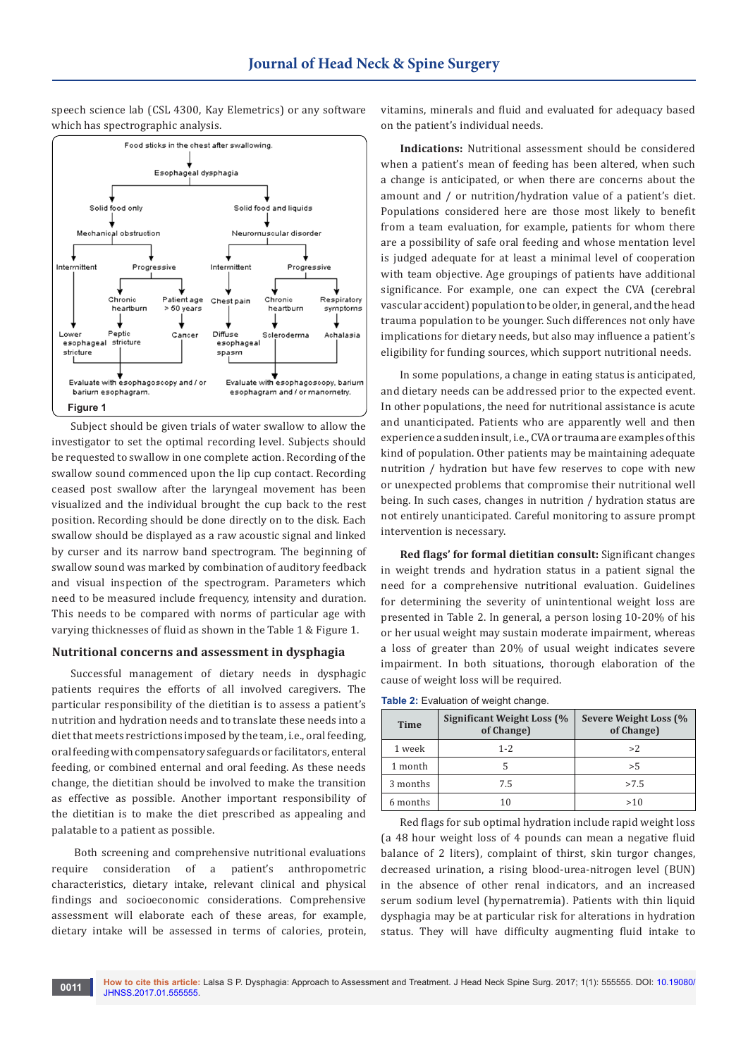speech science lab (CSL 4300, Kay Elemetrics) or any software which has spectrographic analysis.



Subject should be given trials of water swallow to allow the investigator to set the optimal recording level. Subjects should be requested to swallow in one complete action. Recording of the swallow sound commenced upon the lip cup contact. Recording ceased post swallow after the laryngeal movement has been visualized and the individual brought the cup back to the rest position. Recording should be done directly on to the disk. Each swallow should be displayed as a raw acoustic signal and linked by curser and its narrow band spectrogram. The beginning of swallow sound was marked by combination of auditory feedback and visual inspection of the spectrogram. Parameters which need to be measured include frequency, intensity and duration. This needs to be compared with norms of particular age with varying thicknesses of fluid as shown in the Table 1 & Figure 1.

#### **Nutritional concerns and assessment in dysphagia**

Successful management of dietary needs in dysphagic patients requires the efforts of all involved caregivers. The particular responsibility of the dietitian is to assess a patient's nutrition and hydration needs and to translate these needs into a diet that meets restrictions imposed by the team, i.e., oral feeding, oral feeding with compensatory safeguards or facilitators, enteral feeding, or combined enternal and oral feeding. As these needs change, the dietitian should be involved to make the transition as effective as possible. Another important responsibility of the dietitian is to make the diet prescribed as appealing and palatable to a patient as possible.

 Both screening and comprehensive nutritional evaluations require consideration of a patient's anthropometric characteristics, dietary intake, relevant clinical and physical findings and socioeconomic considerations. Comprehensive assessment will elaborate each of these areas, for example, dietary intake will be assessed in terms of calories, protein,

vitamins, minerals and fluid and evaluated for adequacy based on the patient's individual needs.

**Indications:** Nutritional assessment should be considered when a patient's mean of feeding has been altered, when such a change is anticipated, or when there are concerns about the amount and / or nutrition/hydration value of a patient's diet. Populations considered here are those most likely to benefit from a team evaluation, for example, patients for whom there are a possibility of safe oral feeding and whose mentation level is judged adequate for at least a minimal level of cooperation with team objective. Age groupings of patients have additional significance. For example, one can expect the CVA (cerebral vascular accident) population to be older, in general, and the head trauma population to be younger. Such differences not only have implications for dietary needs, but also may influence a patient's eligibility for funding sources, which support nutritional needs.

In some populations, a change in eating status is anticipated, and dietary needs can be addressed prior to the expected event. In other populations, the need for nutritional assistance is acute and unanticipated. Patients who are apparently well and then experience a sudden insult, i.e., CVA or trauma are examples of this kind of population. Other patients may be maintaining adequate nutrition / hydration but have few reserves to cope with new or unexpected problems that compromise their nutritional well being. In such cases, changes in nutrition / hydration status are not entirely unanticipated. Careful monitoring to assure prompt intervention is necessary.

**Red flags' for formal dietitian consult:** Significant changes in weight trends and hydration status in a patient signal the need for a comprehensive nutritional evaluation. Guidelines for determining the severity of unintentional weight loss are presented in Table 2. In general, a person losing 10-20% of his or her usual weight may sustain moderate impairment, whereas a loss of greater than 20% of usual weight indicates severe impairment. In both situations, thorough elaboration of the cause of weight loss will be required.

|  | Table 2: Evaluation of weight change. |  |  |
|--|---------------------------------------|--|--|
|--|---------------------------------------|--|--|

| <b>Time</b> | Significant Weight Loss (%<br>of Change) | Severe Weight Loss (%<br>of Change) |
|-------------|------------------------------------------|-------------------------------------|
| 1 week      | $1 - 2$                                  | >2                                  |
| 1 month     |                                          | > 5                                 |
| 3 months    | 7.5                                      | >7.5                                |
| 6 months    | 10                                       | >10                                 |

Red flags for sub optimal hydration include rapid weight loss (a 48 hour weight loss of 4 pounds can mean a negative fluid balance of 2 liters), complaint of thirst, skin turgor changes, decreased urination, a rising blood-urea-nitrogen level (BUN) in the absence of other renal indicators, and an increased serum sodium level (hypernatremia). Patients with thin liquid dysphagia may be at particular risk for alterations in hydration status. They will have difficulty augmenting fluid intake to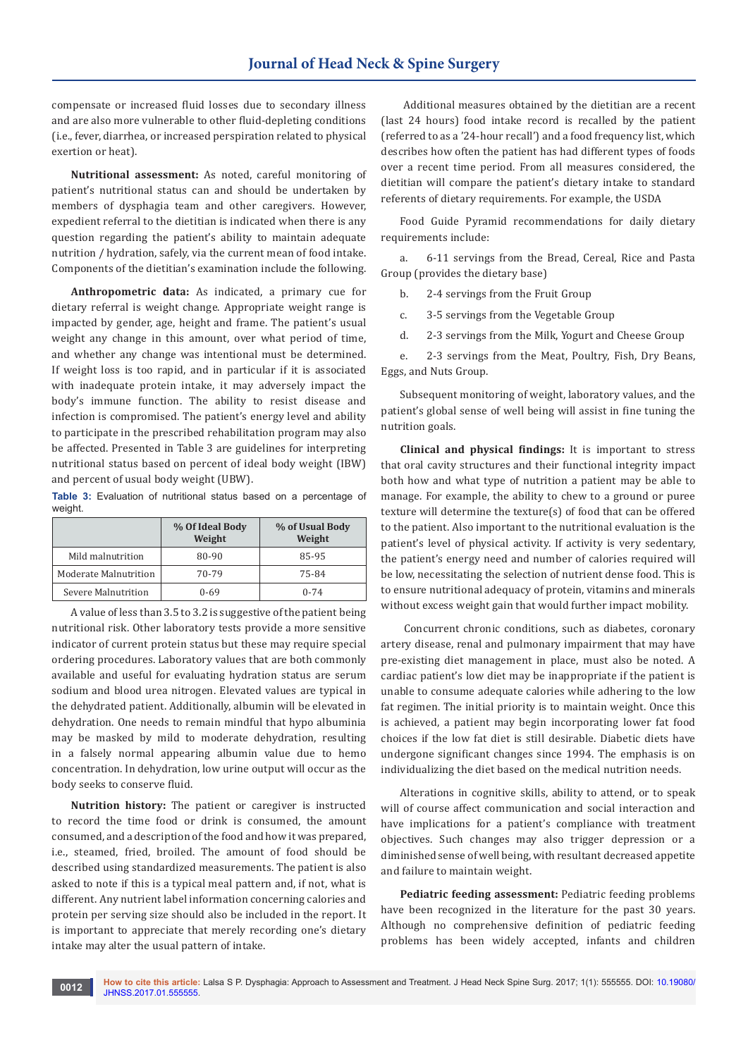compensate or increased fluid losses due to secondary illness and are also more vulnerable to other fluid-depleting conditions (i.e., fever, diarrhea, or increased perspiration related to physical exertion or heat).

**Nutritional assessment:** As noted, careful monitoring of patient's nutritional status can and should be undertaken by members of dysphagia team and other caregivers. However, expedient referral to the dietitian is indicated when there is any question regarding the patient's ability to maintain adequate nutrition / hydration, safely, via the current mean of food intake. Components of the dietitian's examination include the following.

**Anthropometric data:** As indicated, a primary cue for dietary referral is weight change. Appropriate weight range is impacted by gender, age, height and frame. The patient's usual weight any change in this amount, over what period of time, and whether any change was intentional must be determined. If weight loss is too rapid, and in particular if it is associated with inadequate protein intake, it may adversely impact the body's immune function. The ability to resist disease and infection is compromised. The patient's energy level and ability to participate in the prescribed rehabilitation program may also be affected. Presented in Table 3 are guidelines for interpreting nutritional status based on percent of ideal body weight (IBW) and percent of usual body weight (UBW).

**Table 3:** Evaluation of nutritional status based on a percentage of weight.

|                       | % Of Ideal Body<br>Weight | % of Usual Body<br>Weight |
|-----------------------|---------------------------|---------------------------|
| Mild malnutrition     | 80-90                     | 85-95                     |
| Moderate Malnutrition | 70-79                     | 75-84                     |
| Severe Malnutrition   | 0-69                      | $0 - 74$                  |

A value of less than 3.5 to 3.2 is suggestive of the patient being nutritional risk. Other laboratory tests provide a more sensitive indicator of current protein status but these may require special ordering procedures. Laboratory values that are both commonly available and useful for evaluating hydration status are serum sodium and blood urea nitrogen. Elevated values are typical in the dehydrated patient. Additionally, albumin will be elevated in dehydration. One needs to remain mindful that hypo albuminia may be masked by mild to moderate dehydration, resulting in a falsely normal appearing albumin value due to hemo concentration. In dehydration, low urine output will occur as the body seeks to conserve fluid.

**Nutrition history:** The patient or caregiver is instructed to record the time food or drink is consumed, the amount consumed, and a description of the food and how it was prepared, i.e., steamed, fried, broiled. The amount of food should be described using standardized measurements. The patient is also asked to note if this is a typical meal pattern and, if not, what is different. Any nutrient label information concerning calories and protein per serving size should also be included in the report. It is important to appreciate that merely recording one's dietary intake may alter the usual pattern of intake.

 Additional measures obtained by the dietitian are a recent (last 24 hours) food intake record is recalled by the patient (referred to as a '24-hour recall') and a food frequency list, which describes how often the patient has had different types of foods over a recent time period. From all measures considered, the dietitian will compare the patient's dietary intake to standard referents of dietary requirements. For example, the USDA

Food Guide Pyramid recommendations for daily dietary requirements include:

a. 6-11 servings from the Bread, Cereal, Rice and Pasta Group (provides the dietary base)

b. 2-4 servings from the Fruit Group

c. 3-5 servings from the Vegetable Group

d. 2-3 servings from the Milk, Yogurt and Cheese Group

e. 2-3 servings from the Meat, Poultry, Fish, Dry Beans, Eggs, and Nuts Group.

Subsequent monitoring of weight, laboratory values, and the patient's global sense of well being will assist in fine tuning the nutrition goals.

**Clinical and physical findings:** It is important to stress that oral cavity structures and their functional integrity impact both how and what type of nutrition a patient may be able to manage. For example, the ability to chew to a ground or puree texture will determine the texture(s) of food that can be offered to the patient. Also important to the nutritional evaluation is the patient's level of physical activity. If activity is very sedentary, the patient's energy need and number of calories required will be low, necessitating the selection of nutrient dense food. This is to ensure nutritional adequacy of protein, vitamins and minerals without excess weight gain that would further impact mobility.

 Concurrent chronic conditions, such as diabetes, coronary artery disease, renal and pulmonary impairment that may have pre-existing diet management in place, must also be noted. A cardiac patient's low diet may be inappropriate if the patient is unable to consume adequate calories while adhering to the low fat regimen. The initial priority is to maintain weight. Once this is achieved, a patient may begin incorporating lower fat food choices if the low fat diet is still desirable. Diabetic diets have undergone significant changes since 1994. The emphasis is on individualizing the diet based on the medical nutrition needs.

Alterations in cognitive skills, ability to attend, or to speak will of course affect communication and social interaction and have implications for a patient's compliance with treatment objectives. Such changes may also trigger depression or a diminished sense of well being, with resultant decreased appetite and failure to maintain weight.

**Pediatric feeding assessment:** Pediatric feeding problems have been recognized in the literature for the past 30 years. Although no comprehensive definition of pediatric feeding problems has been widely accepted, infants and children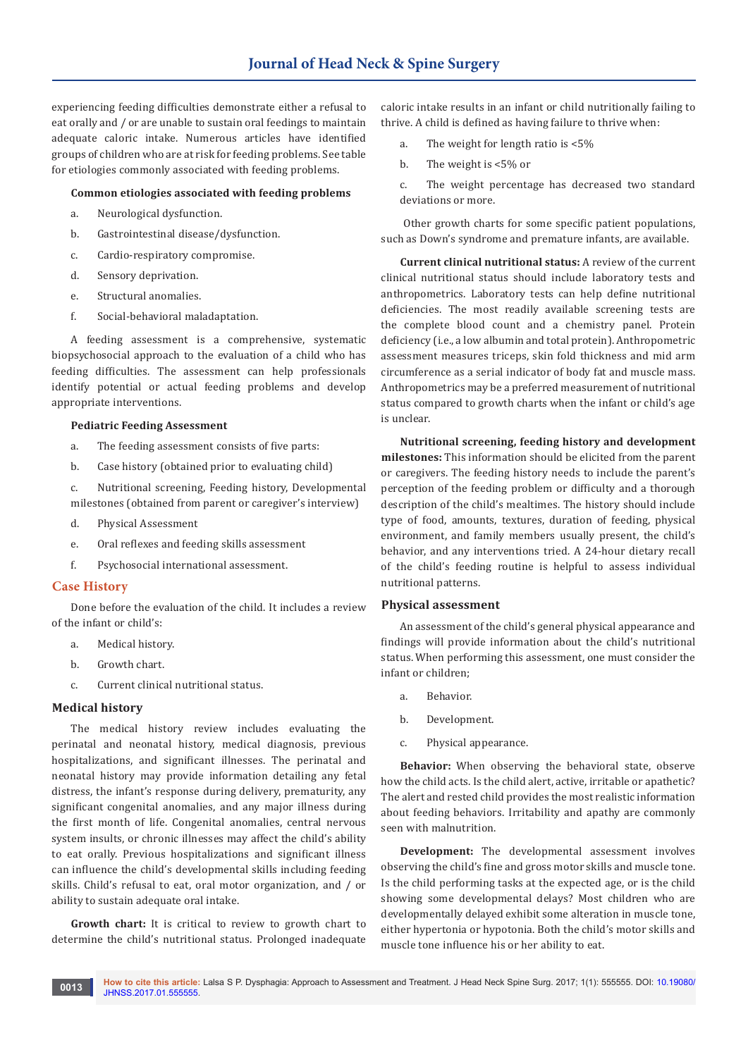experiencing feeding difficulties demonstrate either a refusal to eat orally and / or are unable to sustain oral feedings to maintain adequate caloric intake. Numerous articles have identified groups of children who are at risk for feeding problems. See table for etiologies commonly associated with feeding problems.

#### **Common etiologies associated with feeding problems**

- a. Neurological dysfunction.
- b. Gastrointestinal disease/dysfunction.
- c. Cardio-respiratory compromise.
- d. Sensory deprivation.
- e. Structural anomalies.
- f. Social-behavioral maladaptation.

A feeding assessment is a comprehensive, systematic biopsychosocial approach to the evaluation of a child who has feeding difficulties. The assessment can help professionals identify potential or actual feeding problems and develop appropriate interventions.

#### **Pediatric Feeding Assessment**

- a. The feeding assessment consists of five parts:
- b. Case history (obtained prior to evaluating child)
- c. Nutritional screening, Feeding history, Developmental milestones (obtained from parent or caregiver's interview)
- d. Physical Assessment
- e. Oral reflexes and feeding skills assessment
- f. Psychosocial international assessment.

#### **Case History**

Done before the evaluation of the child. It includes a review of the infant or child's:

- a. Medical history.
- b. Growth chart.
- c. Current clinical nutritional status.

#### **Medical history**

The medical history review includes evaluating the perinatal and neonatal history, medical diagnosis, previous hospitalizations, and significant illnesses. The perinatal and neonatal history may provide information detailing any fetal distress, the infant's response during delivery, prematurity, any significant congenital anomalies, and any major illness during the first month of life. Congenital anomalies, central nervous system insults, or chronic illnesses may affect the child's ability to eat orally. Previous hospitalizations and significant illness can influence the child's developmental skills including feeding skills. Child's refusal to eat, oral motor organization, and / or ability to sustain adequate oral intake.

**Growth chart:** It is critical to review to growth chart to determine the child's nutritional status. Prolonged inadequate caloric intake results in an infant or child nutritionally failing to thrive. A child is defined as having failure to thrive when:

- a. The weight for length ratio is <5%
- b. The weight is <5% or

c. The weight percentage has decreased two standard deviations or more.

 Other growth charts for some specific patient populations, such as Down's syndrome and premature infants, are available.

**Current clinical nutritional status:** A review of the current clinical nutritional status should include laboratory tests and anthropometrics. Laboratory tests can help define nutritional deficiencies. The most readily available screening tests are the complete blood count and a chemistry panel. Protein deficiency (i.e., a low albumin and total protein). Anthropometric assessment measures triceps, skin fold thickness and mid arm circumference as a serial indicator of body fat and muscle mass. Anthropometrics may be a preferred measurement of nutritional status compared to growth charts when the infant or child's age is unclear.

**Nutritional screening, feeding history and development milestones:** This information should be elicited from the parent or caregivers. The feeding history needs to include the parent's perception of the feeding problem or difficulty and a thorough description of the child's mealtimes. The history should include type of food, amounts, textures, duration of feeding, physical environment, and family members usually present, the child's behavior, and any interventions tried. A 24-hour dietary recall of the child's feeding routine is helpful to assess individual nutritional patterns.

#### **Physical assessment**

An assessment of the child's general physical appearance and findings will provide information about the child's nutritional status. When performing this assessment, one must consider the infant or children;

- a. Behavior.
- b. Development.
- c. Physical appearance.

**Behavior:** When observing the behavioral state, observe how the child acts. Is the child alert, active, irritable or apathetic? The alert and rested child provides the most realistic information about feeding behaviors. Irritability and apathy are commonly seen with malnutrition.

**Development:** The developmental assessment involves observing the child's fine and gross motor skills and muscle tone. Is the child performing tasks at the expected age, or is the child showing some developmental delays? Most children who are developmentally delayed exhibit some alteration in muscle tone, either hypertonia or hypotonia. Both the child's motor skills and muscle tone influence his or her ability to eat.